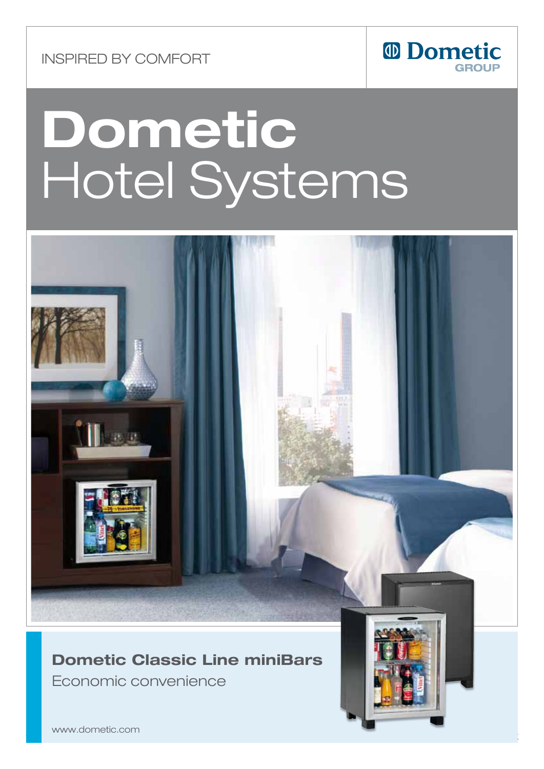Inspired by comfort



# Dometic Hotel Systems



### **Dometic Classic Line miniBars**

**Leconomic convenience** 

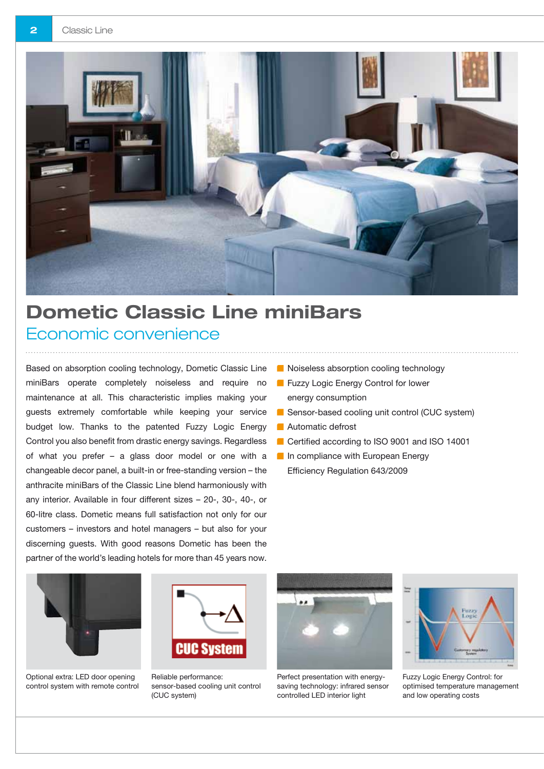

# Dometic Classic Line miniBars Economic convenience

Based on absorption cooling technology, Dometic Classic Line miniBars operate completely noiseless and require no maintenance at all. This characteristic implies making your guests extremely comfortable while keeping your service budget low. Thanks to the patented Fuzzy Logic Energy Control you also benefit from drastic energy savings. Regardless of what you prefer – a glass door model or one with a changeable decor panel, a built-in or free-standing version – the anthracite miniBars of the Classic Line blend harmoniously with any interior. Available in four different sizes – 20-, 30-, 40-, or 60-litre class. Dometic means full satisfaction not only for our customers – investors and hotel managers – but also for your discerning guests. With good reasons Dometic has been the partner of the world's leading hotels for more than 45 years now.

- **Noiseless absorption cooling technology**
- **Fuzzy Logic Energy Control for lower** energy consumption
- Sensor-based cooling unit control (CUC system)
- **Automatic defrost**
- Certified according to ISO 9001 and ISO 14001
- **In compliance with European Energy** Efficiency Regulation 643/2009



Optional extra: LED door opening control system with remote control



Reliable performance: sensor-based cooling unit control (CUC system)



Perfect presentation with energysaving technology: infrared sensor controlled LED interior light



Fuzzy Logic Energy Control: for optimised temperature management and low operating costs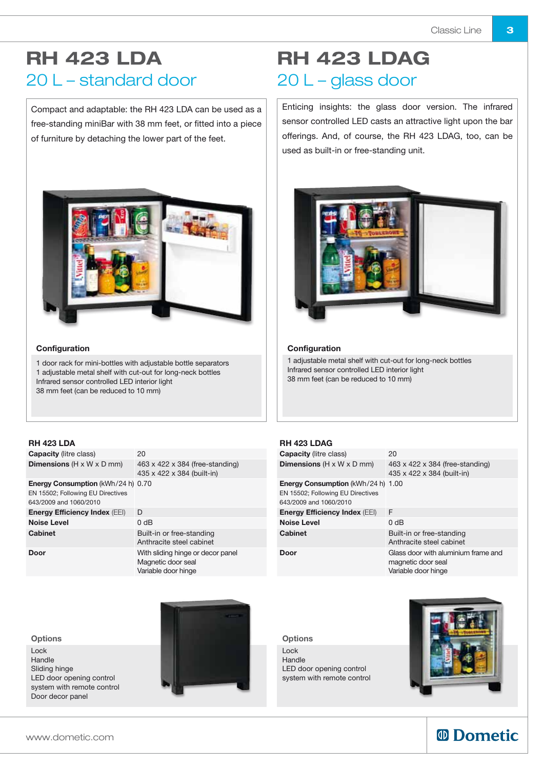### RH 423 LDA 20 L – standard door

Compact and adaptable: the RH 423 LDA can be used as a free-standing miniBar with 38 mm feet, or fitted into a piece of furniture by detaching the lower part of the feet.



#### **Configuration**

1 door rack for mini-bottles with adjustable bottle separators 1 adjustable metal shelf with cut-out for long-neck bottles Infrared sensor controlled LED interior light 38 mm feet (can be reduced to 10 mm)

### RH 423 LDAG 20 L – glass door

Enticing insights: the glass door version. The infrared sensor controlled LED casts an attractive light upon the bar offerings. And, of course, the RH 423 LDAG, too, can be used as built-in or free-standing unit.



#### **Configuration**

1 adjustable metal shelf with cut-out for long-neck bottles Infrared sensor controlled LED interior light 38 mm feet (can be reduced to 10 mm)

#### RH 423 LDA

| <b>Capacity</b> (litre class)                                                                            | 20                                                                             |
|----------------------------------------------------------------------------------------------------------|--------------------------------------------------------------------------------|
| <b>Dimensions</b> ( $H \times W \times D$ mm)                                                            | 463 x 422 x 384 (free-standing)<br>435 x 422 x 384 (built-in)                  |
| <b>Energy Consumption (kWh/24 h) 0.70</b><br>EN 15502; Following EU Directives<br>643/2009 and 1060/2010 |                                                                                |
| <b>Energy Efficiency Index (EEI)</b>                                                                     | D                                                                              |
| <b>Noise Level</b>                                                                                       | 0 dB                                                                           |
| Cabinet                                                                                                  | Built-in or free-standing<br>Anthracite steel cabinet                          |
| Door                                                                                                     | With sliding hinge or decor panel<br>Magnetic door seal<br>Variable door hinge |

#### RH 423 LDAG

| <b>Capacity</b> (litre class)                                                                     | 20                                                                               |
|---------------------------------------------------------------------------------------------------|----------------------------------------------------------------------------------|
| <b>Dimensions</b> ( $H \times W \times D$ mm)                                                     | 463 x 422 x 384 (free-standing)<br>435 x 422 x 384 (built-in)                    |
| Energy Consumption (kWh/24 h) 1.00<br>EN 15502; Following EU Directives<br>643/2009 and 1060/2010 |                                                                                  |
| <b>Energy Efficiency Index (EEI)</b>                                                              | F                                                                                |
| <b>Noise Level</b>                                                                                | 0 <sub>d</sub> B                                                                 |
| Cabinet                                                                                           | Built-in or free-standing<br>Anthracite steel cabinet                            |
| Door                                                                                              | Glass door with aluminium frame and<br>magnetic door seal<br>Variable door hinge |

**Options** 

Lock Handle LED door opening control system with remote control



### *<sup>ID</sup> Dometic*

#### **Options**

Lock Handle Sliding hinge LED door opening control system with remote control Door decor panel



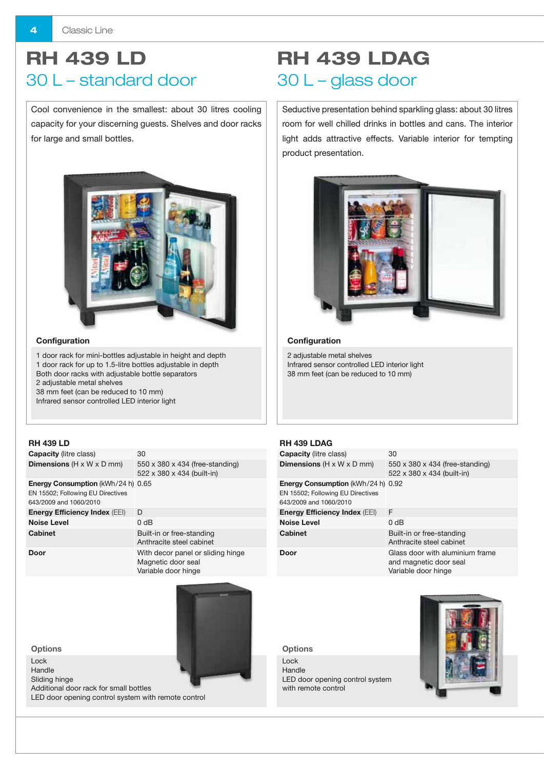# RH 439 LD 30 L – standard door

Cool convenience in the smallest: about 30 litres cooling capacity for your discerning guests. Shelves and door racks for large and small bottles.



#### **Configuration**

1 door rack for mini-bottles adjustable in height and depth 1 door rack for up to 1.5-litre bottles adjustable in depth Both door racks with adjustable bottle separators 2 adjustable metal shelves 38 mm feet (can be reduced to 10 mm) Infrared sensor controlled LED interior light

#### RH 439 LD

| <b>Capacity</b> (litre class)                                                                            | 30                                                                             |
|----------------------------------------------------------------------------------------------------------|--------------------------------------------------------------------------------|
| <b>Dimensions</b> ( $H \times W \times D$ mm)                                                            | $550 \times 380 \times 434$ (free-standing)<br>522 x 380 x 434 (built-in)      |
| <b>Energy Consumption (kWh/24 h) 0.65</b><br>EN 15502; Following EU Directives<br>643/2009 and 1060/2010 |                                                                                |
| <b>Energy Efficiency Index (EEI)</b>                                                                     | D                                                                              |
| <b>Noise Level</b>                                                                                       | 0 <sub>d</sub> B                                                               |
| Cabinet                                                                                                  | Built-in or free-standing<br>Anthracite steel cabinet                          |
| Door                                                                                                     | With decor panel or sliding hinge<br>Magnetic door seal<br>Variable door hinge |



RH 439 LDAG 30 L – glass door

Seductive presentation behind sparkling glass: about 30 litres room for well chilled drinks in bottles and cans. The interior light adds attractive effects. Variable interior for tempting product presentation.



#### **Configuration**

2 adjustable metal shelves Infrared sensor controlled LED interior light 38 mm feet (can be reduced to 10 mm)

#### RH 439 LDAG

| <b>Capacity</b> (litre class)                                                                            | 30                                                                               |
|----------------------------------------------------------------------------------------------------------|----------------------------------------------------------------------------------|
| <b>Dimensions</b> (H x W x D mm)                                                                         | 550 x 380 x 434 (free-standing)<br>522 x 380 x 434 (built-in)                    |
| <b>Energy Consumption</b> (kWh/24 h) 0.92<br>EN 15502; Following EU Directives<br>643/2009 and 1060/2010 |                                                                                  |
| <b>Energy Efficiency Index (EEI)</b>                                                                     | F                                                                                |
| <b>Noise Level</b>                                                                                       | 0 dB                                                                             |
| Cabinet                                                                                                  | Built-in or free-standing<br>Anthracite steel cabinet                            |
| Door                                                                                                     | Glass door with aluminium frame<br>and magnetic door seal<br>Variable door hinge |

**Options** 

Lock Handle LED door opening control system with remote control



**Options** 

Lock Handle

Sliding hinge

Additional door rack for small bottles LED door opening control system with remote control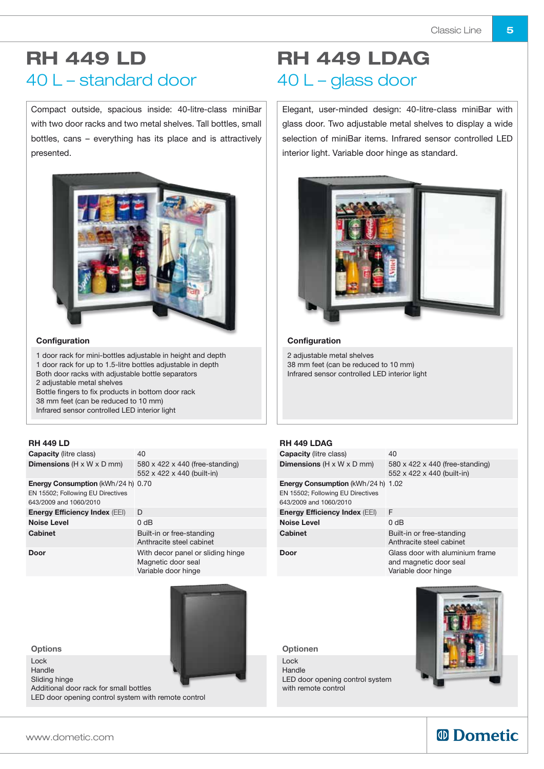### RH 449 LD 40 L – standard door

Compact outside, spacious inside: 40-litre-class miniBar with two door racks and two metal shelves. Tall bottles, small bottles, cans – everything has its place and is attractively presented.



#### **Configuration**

1 door rack for mini-bottles adjustable in height and depth 1 door rack for up to 1.5-litre bottles adjustable in depth Both door racks with adjustable bottle separators 2 adjustable metal shelves Bottle fingers to fix products in bottom door rack 38 mm feet (can be reduced to 10 mm)

Infrared sensor controlled LED interior light

#### RH 449 LD

| <b>Capacity</b> (litre class)                                                                            | 40                                                                             |
|----------------------------------------------------------------------------------------------------------|--------------------------------------------------------------------------------|
| <b>Dimensions</b> ( $H \times W \times D$ mm)                                                            | 580 x 422 x 440 (free-standing)<br>552 x 422 x 440 (built-in)                  |
| <b>Energy Consumption (kWh/24 h) 0.70</b><br>EN 15502; Following EU Directives<br>643/2009 and 1060/2010 |                                                                                |
| <b>Energy Efficiency Index (EEI)</b>                                                                     | D                                                                              |
| <b>Noise Level</b>                                                                                       | 0 <sub>d</sub> B                                                               |
| Cabinet                                                                                                  | Built-in or free-standing<br>Anthracite steel cabinet                          |
| Door                                                                                                     | With decor panel or sliding hinge<br>Magnetic door seal<br>Variable door hinge |

**Options** 

Lock

Handle

Sliding hinge

Additional door rack for small bottles LED door opening control system with remote control

### RH 449 LDAG 40 L – glass door

Elegant, user-minded design: 40-litre-class miniBar with glass door. Two adjustable metal shelves to display a wide selection of miniBar items. Infrared sensor controlled LED interior light. Variable door hinge as standard.



#### **Configuration**

2 adjustable metal shelves 38 mm feet (can be reduced to 10 mm) Infrared sensor controlled LED interior light

#### RH 449 LDAG

| <b>Capacity</b> (litre class)                                                                            | 40                                                                               |
|----------------------------------------------------------------------------------------------------------|----------------------------------------------------------------------------------|
| <b>Dimensions</b> ( $H \times W \times D$ mm)                                                            | 580 x 422 x 440 (free-standing)<br>552 x 422 x 440 (built-in)                    |
| <b>Energy Consumption (kWh/24 h) 1.02</b><br>EN 15502; Following EU Directives<br>643/2009 and 1060/2010 |                                                                                  |
| <b>Energy Efficiency Index (EEI)</b>                                                                     | F                                                                                |
| <b>Noise Level</b>                                                                                       | 0 dB                                                                             |
| <b>Cabinet</b>                                                                                           | Built-in or free-standing<br>Anthracite steel cabinet                            |
| Door                                                                                                     | Glass door with aluminium frame<br>and magnetic door seal<br>Variable door hinge |

Optionen

Lock Handle LED door opening control system with remote control



### *<sup>ID</sup> Dometic*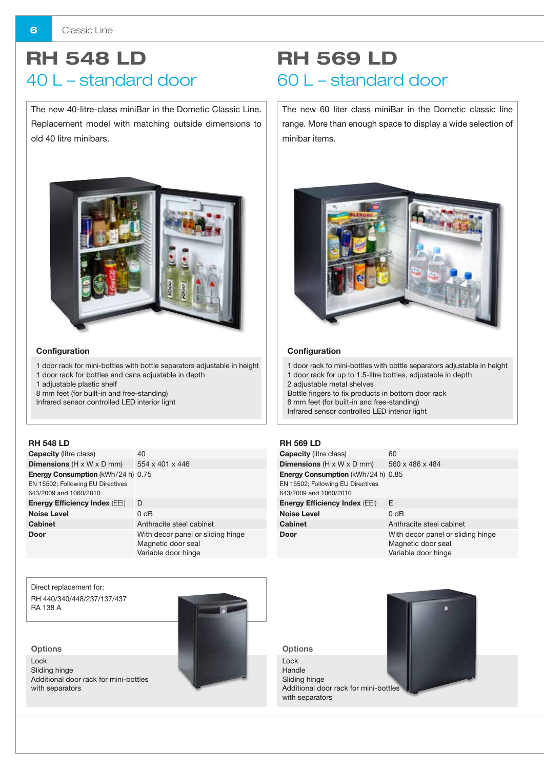### RH 548 LD 40 L – standard door

The new 40-litre-class miniBar in the Dometic Classic Line. Replacement model with matching outside dimensions to old 40 litre minibars.



#### **Configuration**

- 1 door rack for mini-bottles with bottle separators adjustable in height
- 1 door rack for bottles and cans adjustable in depth
- 1 adjustable plastic shelf
- 8 mm feet (for built-in and free-standing)
- Infrared sensor controlled LED interior light

#### RH 548 LD

| <b>Capacity</b> (litre class)                                                                            | 40                                                                             |
|----------------------------------------------------------------------------------------------------------|--------------------------------------------------------------------------------|
| <b>Dimensions</b> ( $H \times W \times D$ mm)                                                            | 554 x 401 x 446                                                                |
| <b>Energy Consumption (kWh/24 h) 0.75</b><br>EN 15502; Following EU Directives<br>643/2009 and 1060/2010 |                                                                                |
| <b>Energy Efficiency Index (EEI)</b>                                                                     | D                                                                              |
| <b>Noise Level</b>                                                                                       | 0 dB                                                                           |
| <b>Cabinet</b>                                                                                           | Anthracite steel cabinet                                                       |
| Door                                                                                                     | With decor panel or sliding hinge<br>Magnetic door seal<br>Variable door hinge |

Direct replacement for: RH 440/340/448/237/137/437 RA 138 A



Lock Sliding hinge Additional door rack for mini-bottles with separators



# RH 569 LD 60 L – standard door

The new 60 liter class miniBar in the Dometic classic line range. More than enough space to display a wide selection of minibar items.



#### **Configuration**

1 door rack fo mini-bottles with bottle separators adjustable in height 1 door rack for up to 1.5-litre bottles, adjustable in depth 2 adjustable metal shelves Bottle fingers to fix products in bottom door rack

8 mm feet (for built-in and free-standing) Infrared sensor controlled LED interior light

#### RH 569 LD

| <b>Capacity</b> (litre class)                                                                            | 60                                                                             |
|----------------------------------------------------------------------------------------------------------|--------------------------------------------------------------------------------|
| <b>Dimensions</b> ( $H \times W \times D$ mm)                                                            | 560 x 486 x 484                                                                |
| <b>Energy Consumption (kWh/24 h) 0.85</b><br>EN 15502; Following EU Directives<br>643/2009 and 1060/2010 |                                                                                |
| <b>Energy Efficiency Index (EEI)</b>                                                                     | F                                                                              |
| <b>Noise Level</b>                                                                                       | 0 <sub>d</sub> B                                                               |
| Cabinet                                                                                                  | Anthracite steel cabinet                                                       |
| Door                                                                                                     | With decor panel or sliding hinge<br>Magnetic door seal<br>Variable door hinge |

**Options** Lock Handle Sliding hinge Additional door rack for mini-bottles with separators

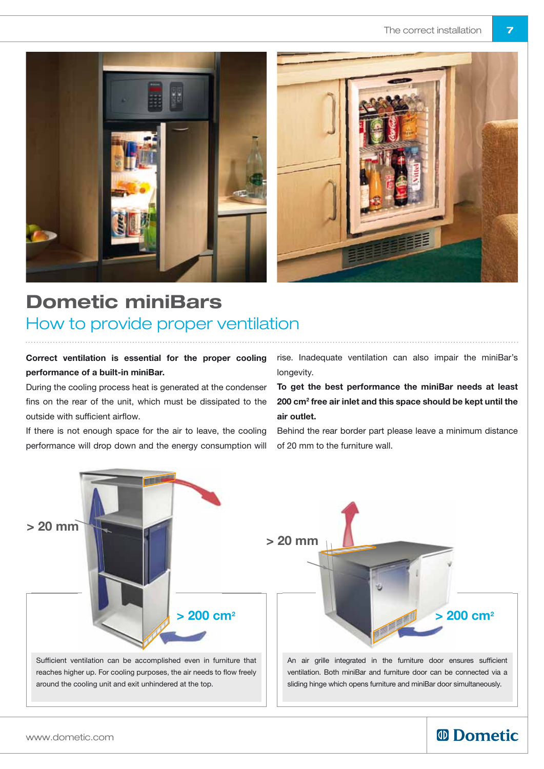



# Dometic miniBars How to provide proper ventilation

Correct ventilation is essential for the proper cooling performance of a built-in miniBar.

During the cooling process heat is generated at the condenser fins on the rear of the unit, which must be dissipated to the outside with sufficient airflow.

If there is not enough space for the air to leave, the cooling performance will drop down and the energy consumption will

rise. Inadequate ventilation can also impair the miniBar's longevity.

To get the best performance the miniBar needs at least 200 cm2 free air inlet and this space should be kept until the air outlet.

Behind the rear border part please leave a minimum distance of 20 mm to the furniture wall.



### *<sup>ID</sup> Dometic*